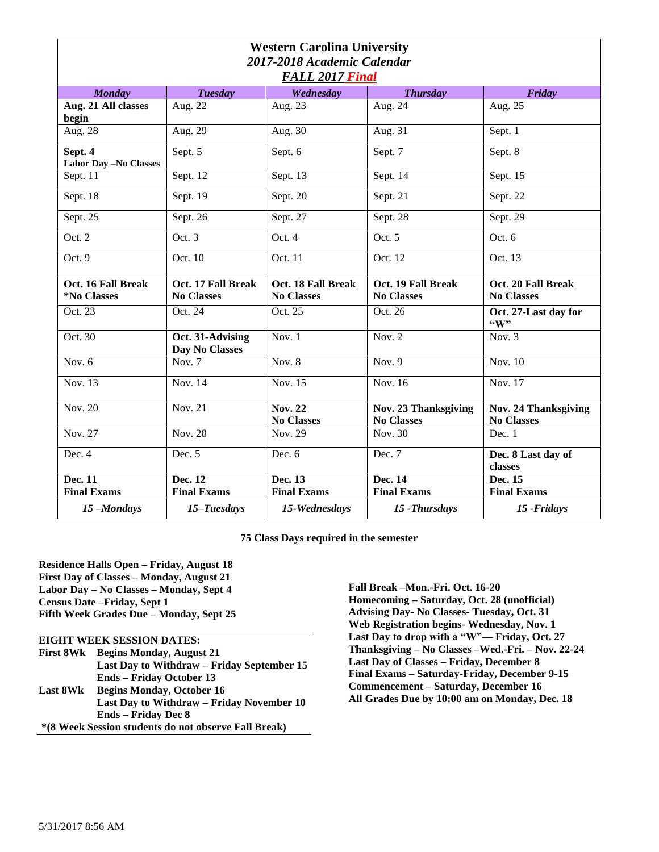| <b>Western Carolina University</b> |                                    |                                     |                                           |                                                  |
|------------------------------------|------------------------------------|-------------------------------------|-------------------------------------------|--------------------------------------------------|
| 2017-2018 Academic Calendar        |                                    |                                     |                                           |                                                  |
| <b>FALL 2017 Final</b>             |                                    |                                     |                                           |                                                  |
| <b>Monday</b>                      | <b>Tuesday</b>                     | Wednesday                           | <b>Thursday</b>                           | Friday                                           |
| Aug. 21 All classes<br>begin       | Aug. 22                            | Aug. 23                             | Aug. 24                                   | Aug. $2\overline{5}$                             |
| Aug. 28                            | Aug. 29                            | Aug. 30                             | Aug. 31                                   | Sept. 1                                          |
| Sept. 4<br>Labor Day -No Classes   | Sept. $\overline{5}$               | Sept. 6                             | Sept. 7                                   | Sept. 8                                          |
| Sept. 11                           | Sept. $12$                         | Sept. 13                            | Sept. 14                                  | Sept. 15                                         |
| Sept. 18                           | Sept. 19                           | Sept. 20                            | Sept. 21                                  | Sept. 22                                         |
| Sept. 25                           | Sept. 26                           | Sept. 27                            | Sept. 28                                  | Sept. 29                                         |
| Oct. 2                             | Oct. 3                             | Oct. 4                              | Oct. 5                                    | Oct. 6                                           |
| Oct. 9                             | Oct. 10                            | Oct. 11                             | Oct. 12                                   | Oct. 13                                          |
| Oct. 16 Fall Break                 | Oct. 17 Fall Break                 | Oct. 18 Fall Break                  | Oct. 19 Fall Break                        | Oct. 20 Fall Break                               |
| *No Classes                        | <b>No Classes</b>                  | <b>No Classes</b>                   | <b>No Classes</b>                         | <b>No Classes</b>                                |
| Oct. 23                            | Oct. 24                            | Oct. 25                             | Oct. 26                                   | Oct. 27-Last day for<br>``W"                     |
| Oct. 30                            | Oct. 31-Advising<br>Day No Classes | Nov. $1$                            | Nov. $2$                                  | Nov. $3$                                         |
| Nov. $6$                           | Nov. $7$                           | Nov. $8$                            | Nov. $9$                                  | Nov. 10                                          |
| Nov. 13                            | <b>Nov. 14</b>                     | Nov. 15                             | Nov. 16                                   | Nov. 17                                          |
| <b>Nov. 20</b>                     | Nov. 21                            | <b>Nov. 22</b><br><b>No Classes</b> | Nov. 23 Thanksgiving<br><b>No Classes</b> | <b>Nov. 24 Thanksgiving</b><br><b>No Classes</b> |
| <b>Nov. 27</b>                     | <b>Nov. 28</b>                     | Nov. 29                             | Nov. 30                                   | Dec. 1                                           |
| Dec. 4                             | Dec. 5                             | Dec. 6                              | Dec. 7                                    | Dec. 8 Last day of<br>classes                    |
| Dec. 11<br><b>Final Exams</b>      | Dec. 12<br><b>Final Exams</b>      | Dec. 13<br><b>Final Exams</b>       | Dec. 14<br><b>Final Exams</b>             | Dec. 15<br><b>Final Exams</b>                    |
| 15-Mondays                         | 15-Tuesdays                        | 15-Wednesdays                       | 15 - Thursdays                            | 15 - Fridays                                     |

**75 Class Days required in the semester**

**Residence Halls Open – Friday, August 18 First Day of Classes – Monday, August 21 Labor Day – No Classes – Monday, Sept 4 Census Date –Friday, Sept 1 Fifth Week Grades Due – Monday, Sept 25**

**EIGHT WEEK SESSION DATES: First 8Wk Begins Monday, August 21 Last Day to Withdraw – Friday September 15 Ends – Friday October 13 Last 8Wk Begins Monday, October 16 Last Day to Withdraw – Friday November 10 Ends – Friday Dec 8 \*(8 Week Session students do not observe Fall Break)**

**Fall Break –Mon.-Fri. Oct. 16-20 Homecoming – Saturday, Oct. 28 (unofficial) Advising Day- No Classes- Tuesday, Oct. 31 Web Registration begins- Wednesday, Nov. 1 Last Day to drop with a "W"— Friday, Oct. 27 Thanksgiving – No Classes –Wed.-Fri. – Nov. 22-24 Last Day of Classes – Friday, December 8 Final Exams – Saturday-Friday, December 9-15 Commencement – Saturday, December 16 All Grades Due by 10:00 am on Monday, Dec. 18**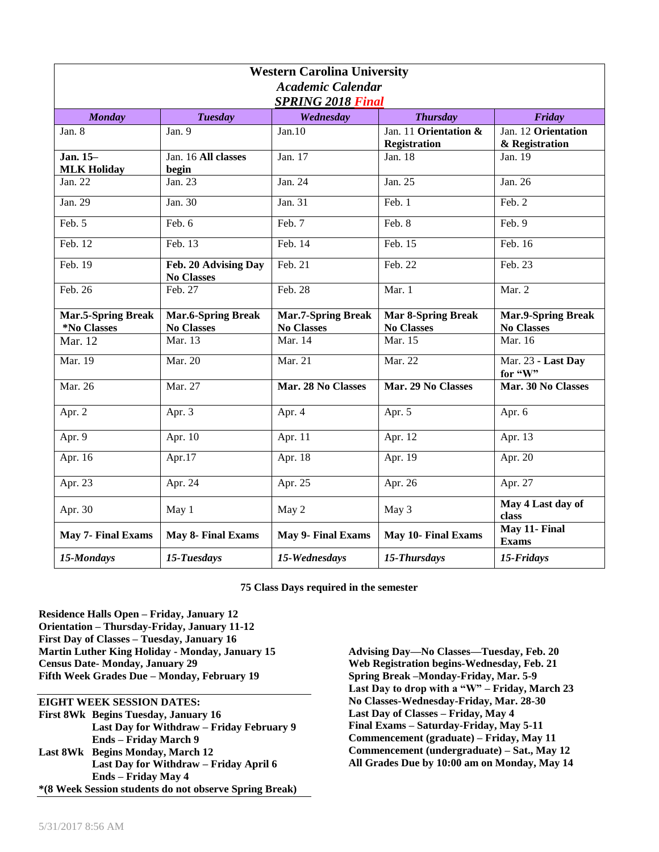| <b>Western Carolina University</b><br><b>Academic Calendar</b><br><b>SPRING 2018 Final</b> |                                                |                                                |                                                |                                                |
|--------------------------------------------------------------------------------------------|------------------------------------------------|------------------------------------------------|------------------------------------------------|------------------------------------------------|
| <b>Monday</b>                                                                              | <b>Tuesday</b>                                 | Wednesday                                      | <b>Thursday</b>                                | Friday                                         |
| Jan. 8                                                                                     | Jan. 9                                         | Jan.10                                         | Jan. 11 Orientation &<br><b>Registration</b>   | Jan. 12 Orientation<br>& Registration          |
| Jan. 15-<br><b>MLK Holiday</b>                                                             | Jan. 16 All classes<br>begin                   | Jan. 17                                        | Jan. 18                                        | Jan. 19                                        |
| Jan. 22                                                                                    | Jan. 23                                        | Jan. 24                                        | Jan. 25                                        | Jan. 26                                        |
| Jan. 29                                                                                    | Jan. 30                                        | Jan. 31                                        | Feb. 1                                         | Feb. 2                                         |
| Feb. 5                                                                                     | Feb. 6                                         | Feb. 7                                         | Feb. 8                                         | Feb. 9                                         |
| Feb. $12$                                                                                  | Feb. 13                                        | Feb. $14$                                      | Feb. 15                                        | Feb. 16                                        |
| Feb. 19                                                                                    | Feb. 20 Advising Day<br><b>No Classes</b>      | Feb. 21                                        | Feb. 22                                        | Feb. 23                                        |
| Feb. 26                                                                                    | Feb. 27                                        | Feb. 28                                        | Mar. 1                                         | Mar. 2                                         |
| <b>Mar.5-Spring Break</b><br>*No Classes                                                   | <b>Mar.6-Spring Break</b><br><b>No Classes</b> | <b>Mar.7-Spring Break</b><br><b>No Classes</b> | <b>Mar 8-Spring Break</b><br><b>No Classes</b> | <b>Mar.9-Spring Break</b><br><b>No Classes</b> |
| Mar. 12                                                                                    | Mar. 13                                        | Mar. 14                                        | Mar. 15                                        | Mar. 16                                        |
| Mar. $19$                                                                                  | Mar. 20                                        | Mar. 21                                        | Mar. 22                                        | Mar. 23 - Last Day<br>for "W"                  |
| Mar. 26                                                                                    | Mar. 27                                        | Mar. 28 No Classes                             | Mar. 29 No Classes                             | Mar. 30 No Classes                             |
| Apr. 2                                                                                     | Apr. $3$                                       | Apr. 4                                         | Apr. 5                                         | Apr. 6                                         |
| Apr. 9                                                                                     | Apr. $10$                                      | Apr. $11$                                      | Apr. 12                                        | Apr. $13$                                      |
| Apr. 16                                                                                    | Apr.17                                         | Apr. 18                                        | Apr. 19                                        | Apr. 20                                        |
| Apr. 23                                                                                    | Apr. 24                                        | Apr. 25                                        | Apr. 26                                        | Apr. 27                                        |
| Apr. 30                                                                                    | May 1                                          | May 2                                          | May 3                                          | May 4 Last day of<br>class                     |
| <b>May 7- Final Exams</b>                                                                  | <b>May 8- Final Exams</b>                      | <b>May 9- Final Exams</b>                      | <b>May 10- Final Exams</b>                     | May 11- Final<br><b>Exams</b>                  |
| 15-Mondays                                                                                 | 15-Tuesdays                                    | 15-Wednesdays                                  | 15-Thursdays                                   | 15-Fridays                                     |

**75 Class Days required in the semester**

**Residence Halls Open – Friday, January 12 Orientation – Thursday-Friday, January 11-12 First Day of Classes – Tuesday, January 16 Martin Luther King Holiday - Monday, January 15 Census Date- Monday, January 29 Fifth Week Grades Due – Monday, February 19**

## **EIGHT WEEK SESSION DATES:**

|                                                        | <b>First 8Wk</b> Begins Tuesday, January 16 |  |
|--------------------------------------------------------|---------------------------------------------|--|
|                                                        | Last Day for Withdraw – Friday February 9   |  |
|                                                        | <b>Ends</b> – Friday March 9                |  |
|                                                        | Last 8Wk Begins Monday, March 12            |  |
|                                                        | Last Day for Withdraw - Friday April 6      |  |
|                                                        | Ends – Friday May 4                         |  |
| *(8 Week Session students do not observe Spring Break) |                                             |  |

**Advising Day—No Classes—Tuesday, Feb. 20 Web Registration begins-Wednesday, Feb. 21 Spring Break –Monday-Friday, Mar. 5-9 Last Day to drop with a "W" – Friday, March 23 No Classes-Wednesday-Friday, Mar. 28-30 Last Day of Classes – Friday, May 4 Final Exams – Saturday-Friday, May 5-11 Commencement (graduate) – Friday, May 11 Commencement (undergraduate) – Sat., May 12 All Grades Due by 10:00 am on Monday, May 14**